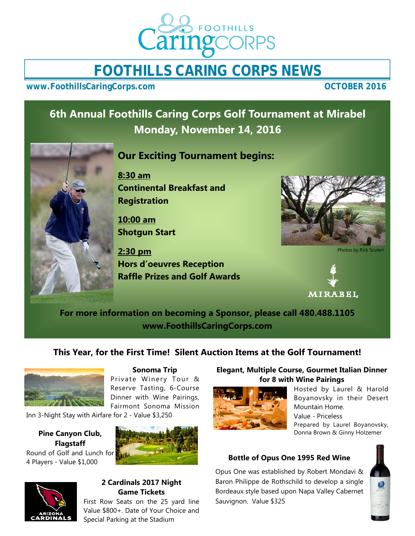

# **FOOTHILLS CARING CORPS NEWS**

**www.FoothillsCaringCorps.com COLOGER 2016** 

# **6th Annual Foothills Caring Corps Golf Tournament at Mirabel Monday, November 14, 2016**



## **Our Exciting Tournament begins:**

**8:30 am Continental Breakfast and Registration** 

**10:00 am Shotgun Start** 

**2:30 pm Hors d'oeuvres Reception Raffle Prizes and Golf Awards** 



Photos by Rick Scuteri



**For more information on becoming a Sponsor, please call 480.488.1105 www.FoothillsCaringCorps.com** 

## **This Year, for the First Time! Silent Auction Items at the Golf Tournament!**



#### **Sonoma Trip**

Private Winery Tour & Reserve Tasting, 6-Course Dinner with Wine Pairings, Fairmont Sonoma Mission

Inn 3-Night Stay with Airfare for 2 - Value \$3,250

#### **Pine Canyon Club, Flagstaff**  Round of Golf and Lunch for 4 Players - Value \$1,000



## **2 Cardinals 2017 Night Game Tickets**

First Row Seats on the 25 yard line Value \$800+. Date of Your Choice and Special Parking at the Stadium

#### **Elegant, Multiple Course, Gourmet Italian Dinner for 8 with Wine Pairings**



Hosted by Laurel & Harold Boyanovsky in their Desert Mountain Home. Value - Priceless Prepared by Laurel Boyanovsky, Donna Brown & Ginny Holzemer

#### **Bottle of Opus One 1995 Red Wine**

Opus One was established by Robert Mondavi & Baron Philippe de Rothschild to develop a single Bordeaux style based upon Napa Valley Cabernet Sauvignon. Value \$325

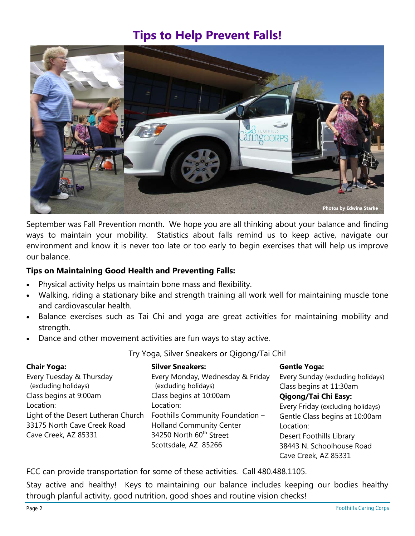# **Tips to Help Prevent Falls!**



September was Fall Prevention month. We hope you are all thinking about your balance and finding ways to maintain your mobility. Statistics about falls remind us to keep active, navigate our environment and know it is never too late or too early to begin exercises that will help us improve our balance.

#### **Tips on Maintaining Good Health and Preventing Falls:**

- Physical activity helps us maintain bone mass and flexibility.
- Walking, riding a stationary bike and strength training all work well for maintaining muscle tone and cardiovascular health.
- Balance exercises such as Tai Chi and yoga are great activities for maintaining mobility and strength.
- Dance and other movement activities are fun ways to stay active.

Try Yoga, Silver Sneakers or Qigong/Tai Chi!

| <b>Chair Yoga:</b>                  | <b>Silver Sneakers:</b>             | <b>Gentle Yoga:</b>               |
|-------------------------------------|-------------------------------------|-----------------------------------|
| Every Tuesday & Thursday            | Every Monday, Wednesday & Friday    | Every Sunday (excluding holidays) |
| (excluding holidays)                | (excluding holidays)                | Class begins at 11:30am           |
| Class begins at 9:00am              | Class begins at 10:00am             | Qigong/Tai Chi Easy:              |
| Location:                           | Location:                           | Every Friday (excluding holidays) |
| Light of the Desert Lutheran Church | Foothills Community Foundation -    | Gentle Class begins at 10:00am    |
| 33175 North Cave Creek Road         | <b>Holland Community Center</b>     | Location:                         |
| Cave Creek, AZ 85331                | 34250 North 60 <sup>th</sup> Street | Desert Foothills Library          |
|                                     | Scottsdale, AZ 85266                | 38443 N. Schoolhouse Road         |
|                                     |                                     | Cave Creek, AZ 85331              |

FCC can provide transportation for some of these activities. Call 480.488.1105.

Stay active and healthy! Keys to maintaining our balance includes keeping our bodies healthy through planful activity, good nutrition, good shoes and routine vision checks!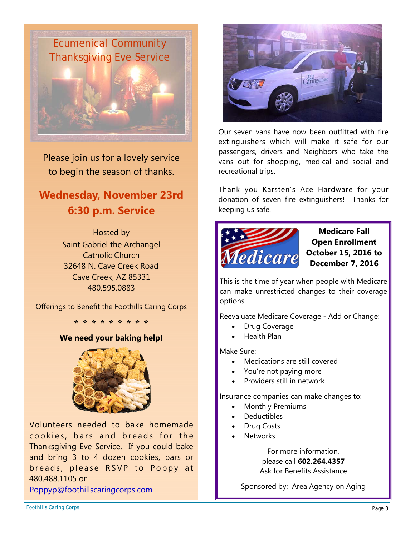

Please join us for a lovely service to begin the season of thanks.

# **Wednesday, November 23rd 6:30 p.m. Service**

Hosted by Saint Gabriel the Archangel Catholic Church 32648 N. Cave Creek Road Cave Creek, AZ 85331 480.595.0883

Offerings to Benefit the Foothills Caring Corps

**\* \* \* \* \* \* \* \* \***

#### **We need your baking help!**



Volunteers needed to bake homemade cookies, bars and breads for the Thanksgiving Eve Service. If you could bake and bring 3 to 4 dozen cookies, bars or breads, please RSVP to Poppy at 480.488.1105 or

Poppyp@foothillscaringcorps.com



Our seven vans have now been outfitted with fire extinguishers which will make it safe for our passengers, drivers and Neighbors who take the vans out for shopping, medical and social and recreational trips.

Thank you Karsten's Ace Hardware for your donation of seven fire extinguishers! Thanks for keeping us safe.



**Medicare Fall Open Enrollment October 15, 2016 to December 7, 2016** 

This is the time of year when people with Medicare can make unrestricted changes to their coverage options.

Reevaluate Medicare Coverage - Add or Change:

- Drug Coverage
- Health Plan

Make Sure:

- Medications are still covered
- You're not paying more
- Providers still in network

Insurance companies can make changes to:

- Monthly Premiums
- **Deductibles**
- Drug Costs
- **Networks**

For more information, please call **602.264.4357** Ask for Benefits Assistance

Sponsored by: Area Agency on Aging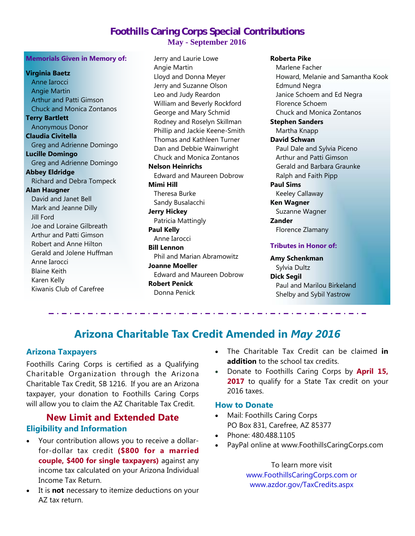## **Foothills Caring Corps Special Contributions May - September 2016**

#### **Memorials Given in Memory of:**

**Virginia Baetz** Anne Iarocci Angie Martin Arthur and Patti Gimson Chuck and Monica Zontanos **Terry Bartlett** Anonymous Donor **Claudia Civitella**  Greg and Adrienne Domingo **Lucille Domingo**  Greg and Adrienne Domingo **Abbey Eldridge**  Richard and Debra Tompeck **Alan Haugner**  David and Janet Bell Mark and Jeanne Dilly Jill Ford Joe and Loraine Gilbreath Arthur and Patti Gimson Robert and Anne Hilton Gerald and Jolene Huffman Anne Iarocci Blaine Keith Karen Kelly Kiwanis Club of Carefree

 Jerry and Laurie Lowe Angie Martin Lloyd and Donna Meyer Jerry and Suzanne Olson Leo and Judy Reardon William and Beverly Rockford George and Mary Schmid Rodney and Roselyn Skillman Phillip and Jackie Keene-Smith Thomas and Kathleen Turner Dan and Debbie Wainwright Chuck and Monica Zontanos **Nelson Heinrichs**  Edward and Maureen Dobrow **Mimi Hill** Theresa Burke Sandy Busalacchi **Jerry Hickey**  Patricia Mattingly **Paul Kelly**  Anne Iarocci **Bill Lennon**  Phil and Marian Abramowitz **Joanne Moeller**  Edward and Maureen Dobrow **Robert Penick** 

**Roberta Pike** 

 Marlene Facher Howard, Melanie and Samantha Kook Edmund Negra Janice Schoem and Ed Negra Florence Schoem Chuck and Monica Zontanos **Stephen Sanders**  Martha Knapp **David Schwan**  Paul Dale and Sylvia Piceno Arthur and Patti Gimson Gerald and Barbara Graunke Ralph and Faith Pipp **Paul Sims**  Keeley Callaway **Ken Wagner**  Suzanne Wagner **Zander**  Florence Zlamany **Tributes in Honor of: Amy Schenkman**  Sylvia Dultz

**Dick Segil**  Paul and Marilou Birkeland Shelby and Sybil Yastrow

# **Arizona Charitable Tax Credit Amended in** *May 2016*

Donna Penick

#### **Arizona Taxpayers**

Foothills Caring Corps is certified as a Qualifying Charitable Organization through the Arizona Charitable Tax Credit, SB 1216. If you are an Arizona taxpayer, your donation to Foothills Caring Corps will allow you to claim the AZ Charitable Tax Credit.

## **New Limit and Extended Date Eligibility and Information**

. . . . . . . . . . .

- Your contribution allows you to receive a dollarfor-dollar tax credit **(\$800 for a married couple, \$400 for single taxpayers)** against any income tax calculated on your Arizona Individual Income Tax Return.
- It is **not** necessary to itemize deductions on your AZ tax return.
- The Charitable Tax Credit can be claimed **in addition** to the school tax credits.
- Donate to Foothills Caring Corps by **April 15,**  2017 to qualify for a State Tax credit on your 2016 taxes.

#### **How to Donate**

- Mail: Foothills Caring Corps PO Box 831, Carefree, AZ 85377
- Phone: 480.488.1105
- PayPal online at www.FoothillsCaringCorps.com

To learn more visit www.FoothillsCaringCorps.com or www.azdor.gov/TaxCredits.aspx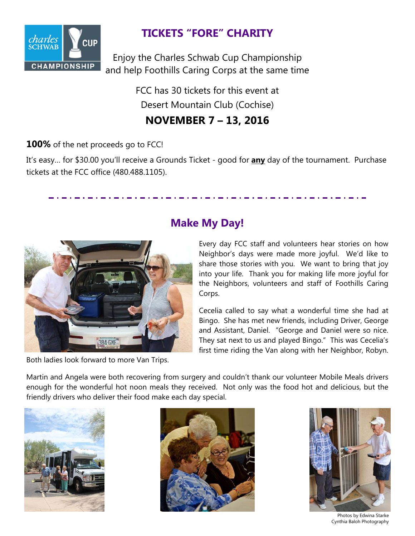

# **TICKETS "FORE" CHARITY**

Enjoy the Charles Schwab Cup Championship and help Foothills Caring Corps at the same time

> FCC has 30 tickets for this event at Desert Mountain Club (Cochise)

## **NOVEMBER 7 – 13, 2016**

## **100%** of the net proceeds go to FCC!

It's easy… for \$30.00 you'll receive a Grounds Ticket - good for **any** day of the tournament. Purchase tickets at the FCC office (480.488.1105).



Both ladies look forward to more Van Trips.

# **Make My Day!**

Every day FCC staff and volunteers hear stories on how Neighbor's days were made more joyful. We'd like to share those stories with you. We want to bring that joy into your life. Thank you for making life more joyful for the Neighbors, volunteers and staff of Foothills Caring Corps.

Cecelia called to say what a wonderful time she had at Bingo. She has met new friends, including Driver, George and Assistant, Daniel. "George and Daniel were so nice. They sat next to us and played Bingo." This was Cecelia's first time riding the Van along with her Neighbor, Robyn.

Martin and Angela were both recovering from surgery and couldn't thank our volunteer Mobile Meals drivers enough for the wonderful hot noon meals they received. Not only was the food hot and delicious, but the friendly drivers who deliver their food make each day special.







Photos by Edwina Starke Cynthia Baloh Photography